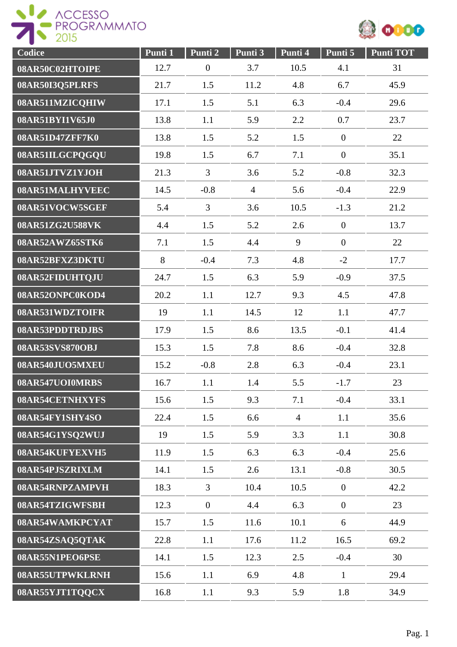



| Codice          | Punti 1 | Punti 2          | Punti 3        | Punti 4        | Punti 5          | <b>Punti TOT</b> |
|-----------------|---------|------------------|----------------|----------------|------------------|------------------|
| 08AR50C02HTOIPE | 12.7    | $\boldsymbol{0}$ | 3.7            | 10.5           | 4.1              | 31               |
| 08AR50I3Q5PLRFS | 21.7    | 1.5              | 11.2           | 4.8            | 6.7              | 45.9             |
| 08AR511MZICQHIW | 17.1    | 1.5              | 5.1            | 6.3            | $-0.4$           | 29.6             |
| 08AR51BYI1V65J0 | 13.8    | 1.1              | 5.9            | 2.2            | 0.7              | 23.7             |
| 08AR51D47ZFF7K0 | 13.8    | 1.5              | 5.2            | 1.5            | $\boldsymbol{0}$ | 22               |
| 08AR51ILGCPQGQU | 19.8    | 1.5              | 6.7            | 7.1            | $\boldsymbol{0}$ | 35.1             |
| 08AR51JTVZ1YJOH | 21.3    | $\overline{3}$   | 3.6            | 5.2            | $-0.8$           | 32.3             |
| 08AR51MALHYVEEC | 14.5    | $-0.8$           | $\overline{4}$ | 5.6            | $-0.4$           | 22.9             |
| 08AR51VOCW5SGEF | 5.4     | $\overline{3}$   | 3.6            | 10.5           | $-1.3$           | 21.2             |
| 08AR51ZG2U588VK | 4.4     | 1.5              | 5.2            | 2.6            | $\overline{0}$   | 13.7             |
| 08AR52AWZ65STK6 | 7.1     | 1.5              | 4.4            | 9              | $\overline{0}$   | 22               |
| 08AR52BFXZ3DKTU | 8       | $-0.4$           | 7.3            | 4.8            | $-2$             | 17.7             |
| 08AR52FIDUHTQJU | 24.7    | 1.5              | 6.3            | 5.9            | $-0.9$           | 37.5             |
| 08AR52ONPC0KOD4 | 20.2    | 1.1              | 12.7           | 9.3            | 4.5              | 47.8             |
| 08AR531WDZTOIFR | 19      | 1.1              | 14.5           | 12             | 1.1              | 47.7             |
| 08AR53PDDTRDJBS | 17.9    | 1.5              | 8.6            | 13.5           | $-0.1$           | 41.4             |
| 08AR53SVS870OBJ | 15.3    | 1.5              | 7.8            | 8.6            | $-0.4$           | 32.8             |
| 08AR540JUO5MXEU | 15.2    | $-0.8$           | 2.8            | 6.3            | $-0.4$           | 23.1             |
| 08AR547UOI0MRBS | 16.7    | 1.1              | 1.4            | 5.5            | $-1.7$           | 23               |
| 08AR54CETNHXYFS | 15.6    | 1.5              | 9.3            | 7.1            | $-0.4$           | 33.1             |
| 08AR54FY1SHY4SO | 22.4    | 1.5              | 6.6            | $\overline{4}$ | 1.1              | 35.6             |
| 08AR54G1YSQ2WUJ | 19      | 1.5              | 5.9            | 3.3            | 1.1              | 30.8             |
| 08AR54KUFYEXVH5 | 11.9    | 1.5              | 6.3            | 6.3            | $-0.4$           | 25.6             |
| 08AR54PJSZRIXLM | 14.1    | 1.5              | 2.6            | 13.1           | $-0.8$           | 30.5             |
| 08AR54RNPZAMPVH | 18.3    | 3                | 10.4           | 10.5           | $\overline{0}$   | 42.2             |
| 08AR54TZIGWFSBH | 12.3    | $\overline{0}$   | 4.4            | 6.3            | $\overline{0}$   | 23               |
| 08AR54WAMKPCYAT | 15.7    | 1.5              | 11.6           | 10.1           | 6                | 44.9             |
| 08AR54ZSAQ5QTAK | 22.8    | 1.1              | 17.6           | 11.2           | 16.5             | 69.2             |
| 08AR55N1PEO6PSE | 14.1    | 1.5              | 12.3           | 2.5            | $-0.4$           | 30               |
| 08AR55UTPWKLRNH | 15.6    | 1.1              | 6.9            | 4.8            | $\mathbf{1}$     | 29.4             |
| 08AR55YJT1TQQCX | 16.8    | 1.1              | 9.3            | 5.9            | 1.8              | 34.9             |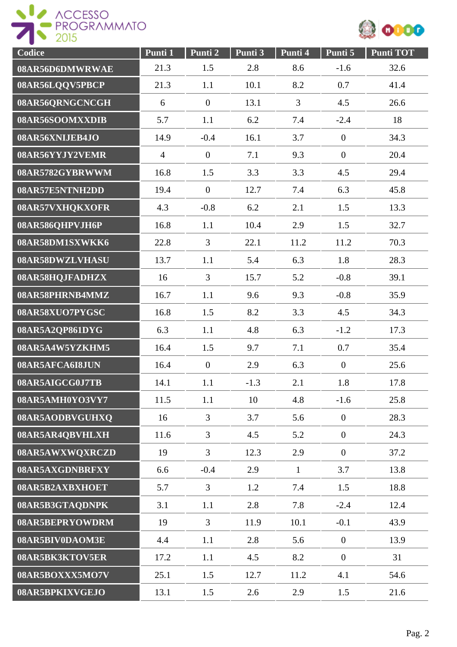



| Codice          | Punti 1        | Punti 2        | Punti 3 | Punti 4        | Punti 5          | <b>Punti TOT</b> |
|-----------------|----------------|----------------|---------|----------------|------------------|------------------|
| 08AR56D6DMWRWAE | 21.3           | 1.5            | 2.8     | 8.6            | $-1.6$           | 32.6             |
| 08AR56LQQV5PBCP | 21.3           | 1.1            | 10.1    | 8.2            | 0.7              | 41.4             |
| 08AR56QRNGCNCGH | 6              | $\overline{0}$ | 13.1    | $\overline{3}$ | 4.5              | 26.6             |
| 08AR56SOOMXXDIB | 5.7            | 1.1            | 6.2     | 7.4            | $-2.4$           | 18               |
| 08AR56XNIJEB4JO | 14.9           | $-0.4$         | 16.1    | 3.7            | $\boldsymbol{0}$ | 34.3             |
| 08AR56YYJY2VEMR | $\overline{4}$ | $\overline{0}$ | 7.1     | 9.3            | $\overline{0}$   | 20.4             |
| 08AR5782GYBRWWM | 16.8           | 1.5            | 3.3     | 3.3            | 4.5              | 29.4             |
| 08AR57E5NTNH2DD | 19.4           | $\overline{0}$ | 12.7    | 7.4            | 6.3              | 45.8             |
| 08AR57VXHQKXOFR | 4.3            | $-0.8$         | 6.2     | 2.1            | 1.5              | 13.3             |
| 08AR586QHPVJH6P | 16.8           | 1.1            | 10.4    | 2.9            | 1.5              | 32.7             |
| 08AR58DM1SXWKK6 | 22.8           | $\overline{3}$ | 22.1    | 11.2           | 11.2             | 70.3             |
| 08AR58DWZLVHASU | 13.7           | 1.1            | 5.4     | 6.3            | 1.8              | 28.3             |
| 08AR58HQJFADHZX | 16             | $\overline{3}$ | 15.7    | 5.2            | $-0.8$           | 39.1             |
| 08AR58PHRNB4MMZ | 16.7           | 1.1            | 9.6     | 9.3            | $-0.8$           | 35.9             |
| 08AR58XUO7PYGSC | 16.8           | 1.5            | 8.2     | 3.3            | 4.5              | 34.3             |
| 08AR5A2QP861DYG | 6.3            | 1.1            | 4.8     | 6.3            | $-1.2$           | 17.3             |
| 08AR5A4W5YZKHM5 | 16.4           | 1.5            | 9.7     | 7.1            | 0.7              | 35.4             |
| 08AR5AFCA6I8JUN | 16.4           | $\overline{0}$ | 2.9     | 6.3            | $\overline{0}$   | 25.6             |
| 08AR5AIGCG0J7TB | 14.1           | 1.1            | $-1.3$  | 2.1            | 1.8              | 17.8             |
| 08AR5AMH0YO3VY7 | 11.5           | 1.1            | 10      | 4.8            | $-1.6$           | 25.8             |
| 08AR5AODBVGUHXQ | 16             | 3              | 3.7     | 5.6            | $\overline{0}$   | 28.3             |
| 08AR5AR4QBVHLXH | 11.6           | 3              | 4.5     | 5.2            | $\overline{0}$   | 24.3             |
| 08AR5AWXWQXRCZD | 19             | $\overline{3}$ | 12.3    | 2.9            | $\overline{0}$   | 37.2             |
| 08AR5AXGDNBRFXY | 6.6            | $-0.4$         | 2.9     | $\mathbf{1}$   | 3.7              | 13.8             |
| 08AR5B2AXBXHOET | 5.7            | $\mathfrak{Z}$ | 1.2     | 7.4            | 1.5              | 18.8             |
| 08AR5B3GTAQDNPK | 3.1            | 1.1            | 2.8     | 7.8            | $-2.4$           | 12.4             |
| 08AR5BEPRYOWDRM | 19             | 3              | 11.9    | 10.1           | $-0.1$           | 43.9             |
| 08AR5BIV0DAOM3E | 4.4            | 1.1            | 2.8     | 5.6            | $\mathbf{0}$     | 13.9             |
| 08AR5BK3KTOV5ER | 17.2           | 1.1            | 4.5     | 8.2            | $\overline{0}$   | 31               |
| 08AR5BOXXX5MO7V | 25.1           | 1.5            | 12.7    | 11.2           | 4.1              | 54.6             |
| 08AR5BPKIXVGEJO | 13.1           | 1.5            | 2.6     | 2.9            | 1.5              | 21.6             |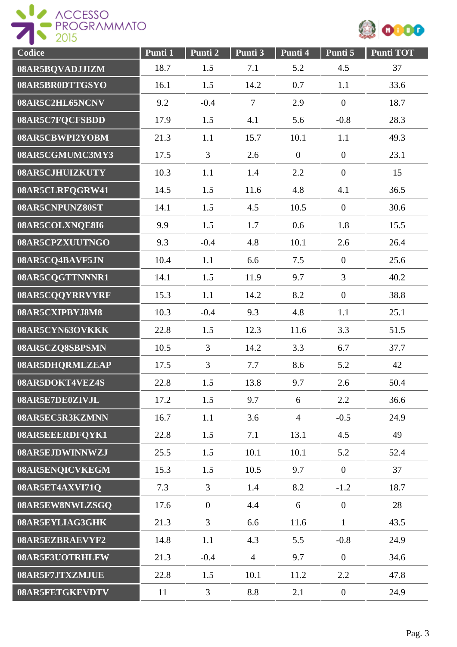



| Codice                 | Punti 1 | Punti <sub>2</sub> | Punti 3        | Punti 4          | Punti 5          | <b>Punti TOT</b> |
|------------------------|---------|--------------------|----------------|------------------|------------------|------------------|
| 08AR5BQVADJJIZM        | 18.7    | 1.5                | 7.1            | 5.2              | 4.5              | 37               |
| 08AR5BR0DTTGSYO        | 16.1    | 1.5                | 14.2           | 0.7              | 1.1              | 33.6             |
| 08AR5C2HL65NCNV        | 9.2     | $-0.4$             | $\overline{7}$ | 2.9              | $\boldsymbol{0}$ | 18.7             |
| 08AR5C7FQCFSBDD        | 17.9    | 1.5                | 4.1            | 5.6              | $-0.8$           | 28.3             |
| 08AR5CBWPI2YOBM        | 21.3    | 1.1                | 15.7           | 10.1             | 1.1              | 49.3             |
| 08AR5CGMUMC3MY3        | 17.5    | 3                  | 2.6            | $\boldsymbol{0}$ | $\overline{0}$   | 23.1             |
| 08AR5CJHUIZKUTY        | 10.3    | 1.1                | 1.4            | 2.2              | $\boldsymbol{0}$ | 15               |
| 08AR5CLRFQGRW41        | 14.5    | 1.5                | 11.6           | 4.8              | 4.1              | 36.5             |
| 08AR5CNPUNZ80ST        | 14.1    | 1.5                | 4.5            | 10.5             | $\overline{0}$   | 30.6             |
| 08AR5COLXNQE8I6        | 9.9     | 1.5                | 1.7            | 0.6              | 1.8              | 15.5             |
| 08AR5CPZXUUTNGO        | 9.3     | $-0.4$             | 4.8            | 10.1             | 2.6              | 26.4             |
| 08AR5CQ4BAVF5JN        | 10.4    | 1.1                | 6.6            | 7.5              | $\overline{0}$   | 25.6             |
| 08AR5CQGTTNNNR1        | 14.1    | 1.5                | 11.9           | 9.7              | $\overline{3}$   | 40.2             |
| 08AR5CQQYRRVYRF        | 15.3    | 1.1                | 14.2           | 8.2              | $\overline{0}$   | 38.8             |
| 08AR5CXIPBYJ8M8        | 10.3    | $-0.4$             | 9.3            | 4.8              | 1.1              | 25.1             |
| 08AR5CYN63OVKKK        | 22.8    | 1.5                | 12.3           | 11.6             | 3.3              | 51.5             |
| 08AR5CZQ8SBPSMN        | 10.5    | $\overline{3}$     | 14.2           | 3.3              | 6.7              | 37.7             |
| 08AR5DHQRMLZEAP        | 17.5    | $\overline{3}$     | 7.7            | 8.6              | 5.2              | 42               |
| 08AR5DOKT4VEZ4S        | 22.8    | 1.5                | 13.8           | 9.7              | 2.6              | 50.4             |
| 08AR5E7DE0ZIVJL        | 17.2    | 1.5                | 9.7            | 6                | 2.2              | 36.6             |
| 08AR5EC5R3KZMNN        | 16.7    | 1.1                | 3.6            | $\overline{4}$   | $-0.5$           | 24.9             |
| 08AR5EEERDFQYK1        | 22.8    | 1.5                | 7.1            | 13.1             | 4.5              | 49               |
| 08AR5EJDWINNWZJ        | 25.5    | 1.5                | 10.1           | 10.1             | 5.2              | 52.4             |
| 08AR5ENQICVKEGM        | 15.3    | 1.5                | 10.5           | 9.7              | $\mathbf{0}$     | 37               |
| 08AR5ET4AXVI71Q        | 7.3     | 3                  | 1.4            | 8.2              | $-1.2$           | 18.7             |
| 08AR5EW8NWLZSGQ        | 17.6    | $\overline{0}$     | 4.4            | 6                | $\overline{0}$   | 28               |
| 08AR5EYLIAG3GHK        | 21.3    | 3                  | 6.6            | 11.6             | $\mathbf{1}$     | 43.5             |
| 08AR5EZBRAEVYF2        | 14.8    | 1.1                | 4.3            | 5.5              | $-0.8$           | 24.9             |
| 08AR5F3UOTRHLFW        | 21.3    | $-0.4$             | $\overline{4}$ | 9.7              | $\overline{0}$   | 34.6             |
| 08AR5F7JTXZMJUE        | 22.8    | 1.5                | 10.1           | 11.2             | 2.2              | 47.8             |
| <b>08AR5FETGKEVDTV</b> | 11      | $\mathfrak{Z}$     | 8.8            | 2.1              | $\overline{0}$   | 24.9             |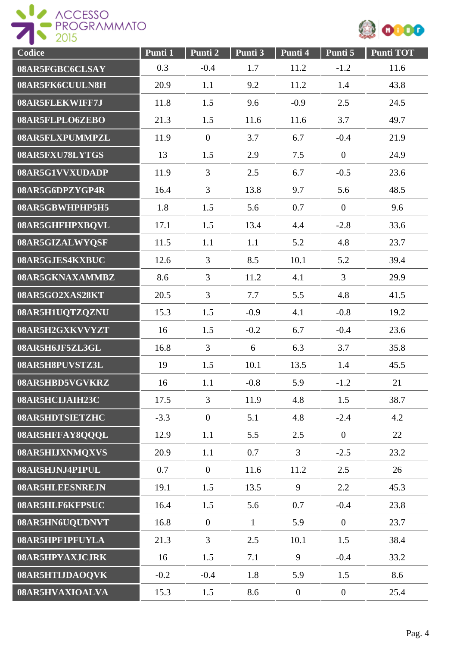



| Codice          | Punti 1 | Punti 2        | Punti 3      | Punti 4        | Punti 5          | <b>Punti TOT</b> |
|-----------------|---------|----------------|--------------|----------------|------------------|------------------|
| 08AR5FGBC6CLSAY | 0.3     | $-0.4$         | 1.7          | 11.2           | $-1.2$           | 11.6             |
| 08AR5FK6CUULN8H | 20.9    | 1.1            | 9.2          | 11.2           | 1.4              | 43.8             |
| 08AR5FLEKWIFF7J | 11.8    | 1.5            | 9.6          | $-0.9$         | 2.5              | 24.5             |
| 08AR5FLPLO6ZEBO | 21.3    | 1.5            | 11.6         | 11.6           | 3.7              | 49.7             |
| 08AR5FLXPUMMPZL | 11.9    | $\overline{0}$ | 3.7          | 6.7            | $-0.4$           | 21.9             |
| 08AR5FXU78LYTGS | 13      | 1.5            | 2.9          | 7.5            | $\boldsymbol{0}$ | 24.9             |
| 08AR5G1VVXUDADP | 11.9    | 3              | 2.5          | 6.7            | $-0.5$           | 23.6             |
| 08AR5G6DPZYGP4R | 16.4    | $\overline{3}$ | 13.8         | 9.7            | 5.6              | 48.5             |
| 08AR5GBWHPHP5H5 | 1.8     | 1.5            | 5.6          | 0.7            | $\overline{0}$   | 9.6              |
| 08AR5GHFHPXBQVL | 17.1    | 1.5            | 13.4         | 4.4            | $-2.8$           | 33.6             |
| 08AR5GIZALWYQSF | 11.5    | 1.1            | 1.1          | 5.2            | 4.8              | 23.7             |
| 08AR5GJES4KXBUC | 12.6    | $\overline{3}$ | 8.5          | 10.1           | 5.2              | 39.4             |
| 08AR5GKNAXAMMBZ | 8.6     | $\overline{3}$ | 11.2         | 4.1            | 3                | 29.9             |
| 08AR5GO2XAS28KT | 20.5    | $\overline{3}$ | 7.7          | 5.5            | 4.8              | 41.5             |
| 08AR5H1UQTZQZNU | 15.3    | 1.5            | $-0.9$       | 4.1            | $-0.8$           | 19.2             |
| 08AR5H2GXKVVYZT | 16      | 1.5            | $-0.2$       | 6.7            | $-0.4$           | 23.6             |
| 08AR5H6JF5ZL3GL | 16.8    | 3              | 6            | 6.3            | 3.7              | 35.8             |
| 08AR5H8PUVSTZ3L | 19      | 1.5            | 10.1         | 13.5           | 1.4              | 45.5             |
| 08AR5HBD5VGVKRZ | 16      | 1.1            | $-0.8$       | 5.9            | $-1.2$           | 21               |
| 08AR5HCIJAIH23C | 17.5    | $\overline{3}$ | 11.9         | 4.8            | 1.5              | 38.7             |
| 08AR5HDTSIETZHC | $-3.3$  | $\overline{0}$ | 5.1          | 4.8            | $-2.4$           | 4.2              |
| 08AR5HFFAY8QQQL | 12.9    | 1.1            | 5.5          | 2.5            | $\overline{0}$   | 22               |
| 08AR5HIJXNMQXVS | 20.9    | 1.1            | 0.7          | $\mathfrak{Z}$ | $-2.5$           | 23.2             |
| 08AR5HJNJ4P1PUL | 0.7     | $\overline{0}$ | 11.6         | 11.2           | 2.5              | 26               |
| 08AR5HLEESNREJN | 19.1    | 1.5            | 13.5         | 9              | 2.2              | 45.3             |
| 08AR5HLF6KFPSUC | 16.4    | 1.5            | 5.6          | 0.7            | $-0.4$           | 23.8             |
| 08AR5HN6UQUDNVT | 16.8    | $\overline{0}$ | $\mathbf{1}$ | 5.9            | $\overline{0}$   | 23.7             |
| 08AR5HPF1PFUYLA | 21.3    | $\mathfrak{Z}$ | 2.5          | 10.1           | 1.5              | 38.4             |
| 08AR5HPYAXJCJRK | 16      | 1.5            | 7.1          | 9              | $-0.4$           | 33.2             |
| 08AR5HTIJDAOQVK | $-0.2$  | $-0.4$         | 1.8          | 5.9            | 1.5              | 8.6              |
| 08AR5HVAXIOALVA | 15.3    | 1.5            | 8.6          | $\overline{0}$ | $\boldsymbol{0}$ | 25.4             |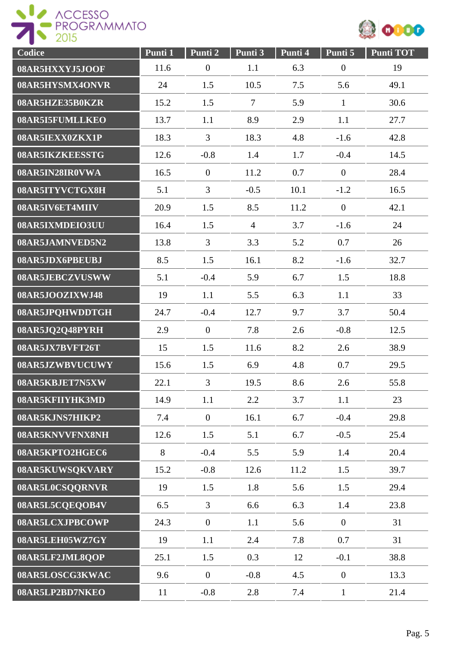



| Codice          | Punti 1 | Punti 2          | Punti 3        | Punti 4 | Punti 5          | <b>Punti TOT</b> |
|-----------------|---------|------------------|----------------|---------|------------------|------------------|
| 08AR5HXXYJ5JOOF | 11.6    | $\boldsymbol{0}$ | 1.1            | 6.3     | $\boldsymbol{0}$ | 19               |
| 08AR5HYSMX4ONVR | 24      | 1.5              | 10.5           | 7.5     | 5.6              | 49.1             |
| 08AR5HZE35B0KZR | 15.2    | 1.5              | $\overline{7}$ | 5.9     | $\mathbf{1}$     | 30.6             |
| 08AR5I5FUMLLKEO | 13.7    | 1.1              | 8.9            | 2.9     | 1.1              | 27.7             |
| 08AR5IEXX0ZKX1P | 18.3    | 3                | 18.3           | 4.8     | $-1.6$           | 42.8             |
| 08AR5IKZKEESSTG | 12.6    | $-0.8$           | 1.4            | 1.7     | $-0.4$           | 14.5             |
| 08AR5IN28IR0VWA | 16.5    | $\overline{0}$   | 11.2           | 0.7     | $\boldsymbol{0}$ | 28.4             |
| 08AR5ITYVCTGX8H | 5.1     | $\overline{3}$   | $-0.5$         | 10.1    | $-1.2$           | 16.5             |
| 08AR5IV6ET4MIIV | 20.9    | 1.5              | 8.5            | 11.2    | $\mathbf{0}$     | 42.1             |
| 08AR5IXMDEIO3UU | 16.4    | 1.5              | $\overline{4}$ | 3.7     | $-1.6$           | 24               |
| 08AR5JAMNVED5N2 | 13.8    | $\overline{3}$   | 3.3            | 5.2     | 0.7              | 26               |
| 08AR5JDX6PBEUBJ | 8.5     | 1.5              | 16.1           | 8.2     | $-1.6$           | 32.7             |
| 08AR5JEBCZVUSWW | 5.1     | $-0.4$           | 5.9            | 6.7     | 1.5              | 18.8             |
| 08AR5JOOZIXWJ48 | 19      | 1.1              | 5.5            | 6.3     | 1.1              | 33               |
| 08AR5JPQHWDDTGH | 24.7    | $-0.4$           | 12.7           | 9.7     | 3.7              | 50.4             |
| 08AR5JQ2Q48PYRH | 2.9     | $\overline{0}$   | 7.8            | 2.6     | $-0.8$           | 12.5             |
| 08AR5JX7BVFT26T | 15      | 1.5              | 11.6           | 8.2     | 2.6              | 38.9             |
| 08AR5JZWBVUCUWY | 15.6    | 1.5              | 6.9            | 4.8     | 0.7              | 29.5             |
| 08AR5KBJET7N5XW | 22.1    | $\overline{3}$   | 19.5           | 8.6     | 2.6              | 55.8             |
| 08AR5KFIIYHK3MD | 14.9    | 1.1              | 2.2            | 3.7     | 1.1              | 23               |
| 08AR5KJNS7HIKP2 | 7.4     | $\overline{0}$   | 16.1           | 6.7     | $-0.4$           | 29.8             |
| 08AR5KNVVFNX8NH | 12.6    | 1.5              | 5.1            | 6.7     | $-0.5$           | 25.4             |
| 08AR5KPTO2HGEC6 | 8       | $-0.4$           | 5.5            | 5.9     | 1.4              | 20.4             |
| 08AR5KUWSQKVARY | 15.2    | $-0.8$           | 12.6           | 11.2    | 1.5              | 39.7             |
| 08AR5L0CSQQRNVR | 19      | 1.5              | 1.8            | 5.6     | 1.5              | 29.4             |
| 08AR5L5CQEQOB4V | 6.5     | $\mathfrak{Z}$   | 6.6            | 6.3     | 1.4              | 23.8             |
| 08AR5LCXJPBCOWP | 24.3    | $\overline{0}$   | 1.1            | 5.6     | $\boldsymbol{0}$ | 31               |
| 08AR5LEH05WZ7GY | 19      | 1.1              | 2.4            | 7.8     | 0.7              | 31               |
| 08AR5LF2JML8QOP | 25.1    | 1.5              | 0.3            | 12      | $-0.1$           | 38.8             |
| 08AR5LOSCG3KWAC | 9.6     | $\overline{0}$   | $-0.8$         | 4.5     | $\boldsymbol{0}$ | 13.3             |
| 08AR5LP2BD7NKEO | 11      | $-0.8$           | 2.8            | 7.4     | $\mathbf{1}$     | 21.4             |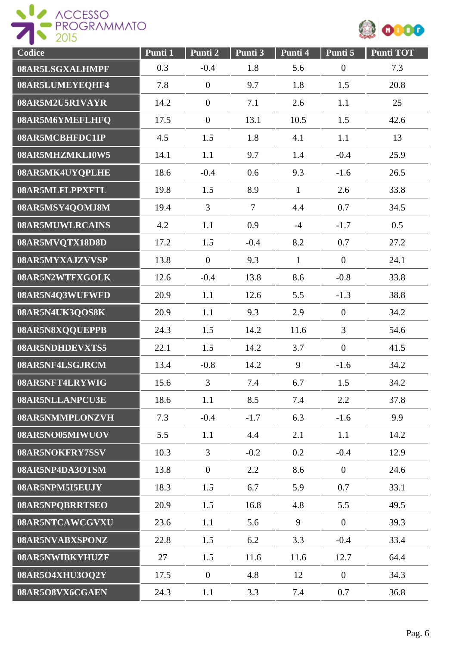



| Codice          | Punti 1 | Punti <sub>2</sub> | Punti 3        | Punti 4      | Punti 5          | <b>Punti TOT</b> |
|-----------------|---------|--------------------|----------------|--------------|------------------|------------------|
| 08AR5LSGXALHMPF | 0.3     | $-0.4$             | 1.8            | 5.6          | $\boldsymbol{0}$ | 7.3              |
| 08AR5LUMEYEQHF4 | 7.8     | $\mathbf{0}$       | 9.7            | 1.8          | 1.5              | 20.8             |
| 08AR5M2U5R1VAYR | 14.2    | $\overline{0}$     | 7.1            | 2.6          | 1.1              | 25               |
| 08AR5M6YMEFLHFQ | 17.5    | $\mathbf{0}$       | 13.1           | 10.5         | 1.5              | 42.6             |
| 08AR5MCBHFDC1IP | 4.5     | 1.5                | 1.8            | 4.1          | 1.1              | 13               |
| 08AR5MHZMKLI0W5 | 14.1    | 1.1                | 9.7            | 1.4          | $-0.4$           | 25.9             |
| 08AR5MK4UYQPLHE | 18.6    | $-0.4$             | 0.6            | 9.3          | $-1.6$           | 26.5             |
| 08AR5MLFLPPXFTL | 19.8    | 1.5                | 8.9            | $\mathbf{1}$ | 2.6              | 33.8             |
| 08AR5MSY4QOMJ8M | 19.4    | $\overline{3}$     | $\overline{7}$ | 4.4          | 0.7              | 34.5             |
| 08AR5MUWLRCAINS | 4.2     | 1.1                | 0.9            | $-4$         | $-1.7$           | 0.5              |
| 08AR5MVQTX18D8D | 17.2    | 1.5                | $-0.4$         | 8.2          | 0.7              | 27.2             |
| 08AR5MYXAJZVVSP | 13.8    | $\overline{0}$     | 9.3            | $\mathbf{1}$ | $\overline{0}$   | 24.1             |
| 08AR5N2WTFXGOLK | 12.6    | $-0.4$             | 13.8           | 8.6          | $-0.8$           | 33.8             |
| 08AR5N4Q3WUFWFD | 20.9    | 1.1                | 12.6           | 5.5          | $-1.3$           | 38.8             |
| 08AR5N4UK3QOS8K | 20.9    | 1.1                | 9.3            | 2.9          | $\boldsymbol{0}$ | 34.2             |
| 08AR5N8XQQUEPPB | 24.3    | 1.5                | 14.2           | 11.6         | 3                | 54.6             |
| 08AR5NDHDEVXTS5 | 22.1    | 1.5                | 14.2           | 3.7          | $\mathbf{0}$     | 41.5             |
| 08AR5NF4LSGJRCM | 13.4    | $-0.8$             | 14.2           | 9            | $-1.6$           | 34.2             |
| 08AR5NFT4LRYWIG | 15.6    | $\overline{3}$     | 7.4            | 6.7          | 1.5              | 34.2             |
| 08AR5NLLANPCU3E | 18.6    | 1.1                | 8.5            | 7.4          | 2.2              | 37.8             |
| 08AR5NMMPLONZVH | 7.3     | $-0.4$             | $-1.7$         | 6.3          | $-1.6$           | 9.9              |
| 08AR5NO05MIWUOV | 5.5     | 1.1                | 4.4            | 2.1          | 1.1              | 14.2             |
| 08AR5NOKFRY7SSV | 10.3    | $\overline{3}$     | $-0.2$         | 0.2          | $-0.4$           | 12.9             |
| 08AR5NP4DA3OTSM | 13.8    | $\overline{0}$     | 2.2            | 8.6          | $\overline{0}$   | 24.6             |
| 08AR5NPM5I5EUJY | 18.3    | 1.5                | 6.7            | 5.9          | 0.7              | 33.1             |
| 08AR5NPQBRRTSEO | 20.9    | 1.5                | 16.8           | 4.8          | 5.5              | 49.5             |
| 08AR5NTCAWCGVXU | 23.6    | 1.1                | 5.6            | 9            | $\overline{0}$   | 39.3             |
| 08AR5NVABXSPONZ | 22.8    | 1.5                | 6.2            | 3.3          | $-0.4$           | 33.4             |
| 08AR5NWIBKYHUZF | 27      | 1.5                | 11.6           | 11.6         | 12.7             | 64.4             |
| 08AR5O4XHU3OQ2Y | 17.5    | $\mathbf{0}$       | 4.8            | 12           | $\boldsymbol{0}$ | 34.3             |
| 08AR5O8VX6CGAEN | 24.3    | 1.1                | 3.3            | 7.4          | 0.7              | 36.8             |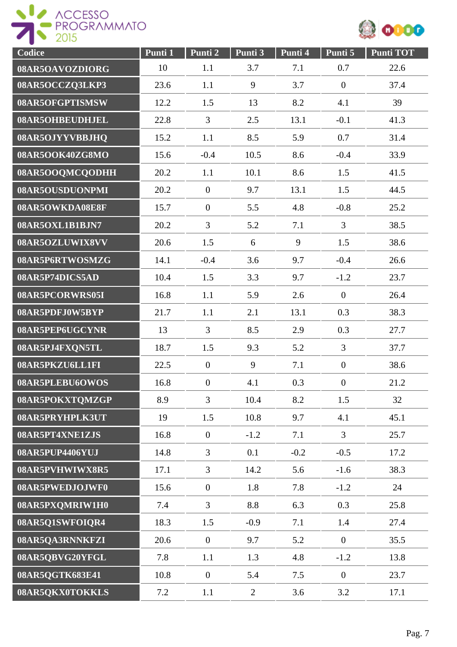

| Codice          | Punti 1 | Punti 2          | Punti 3        | Punti 4 | Punti 5          | <b>Punti TOT</b> |
|-----------------|---------|------------------|----------------|---------|------------------|------------------|
| 08AR5OAVOZDIORG | 10      | 1.1              | 3.7            | 7.1     | 0.7              | 22.6             |
| 08AR5OCCZQ3LKP3 | 23.6    | 1.1              | 9              | 3.7     | $\boldsymbol{0}$ | 37.4             |
| 08AR5OFGPTISMSW | 12.2    | 1.5              | 13             | 8.2     | 4.1              | 39               |
| 08AR5OHBEUDHJEL | 22.8    | $\overline{3}$   | 2.5            | 13.1    | $-0.1$           | 41.3             |
| 08AR5OJYYVBBJHQ | 15.2    | 1.1              | 8.5            | 5.9     | 0.7              | 31.4             |
| 08AR5OOK40ZG8MO | 15.6    | $-0.4$           | 10.5           | 8.6     | $-0.4$           | 33.9             |
| 08AR5OOQMCQODHH | 20.2    | 1.1              | 10.1           | 8.6     | 1.5              | 41.5             |
| 08AR5OUSDUONPMI | 20.2    | $\boldsymbol{0}$ | 9.7            | 13.1    | 1.5              | 44.5             |
| 08AR5OWKDA08E8F | 15.7    | $\boldsymbol{0}$ | 5.5            | 4.8     | $-0.8$           | 25.2             |
| 08AR5OXL1B1BJN7 | 20.2    | $\overline{3}$   | 5.2            | 7.1     | 3                | 38.5             |
| 08AR5OZLUWIX8VV | 20.6    | 1.5              | 6              | 9       | 1.5              | 38.6             |
| 08AR5P6RTWOSMZG | 14.1    | $-0.4$           | 3.6            | 9.7     | $-0.4$           | 26.6             |
| 08AR5P74DICS5AD | 10.4    | 1.5              | 3.3            | 9.7     | $-1.2$           | 23.7             |
| 08AR5PCORWRS05I | 16.8    | 1.1              | 5.9            | 2.6     | $\boldsymbol{0}$ | 26.4             |
| 08AR5PDFJ0W5BYP | 21.7    | 1.1              | 2.1            | 13.1    | 0.3              | 38.3             |
| 08AR5PEP6UGCYNR | 13      | 3                | 8.5            | 2.9     | 0.3              | 27.7             |
| 08AR5PJ4FXQN5TL | 18.7    | 1.5              | 9.3            | 5.2     | 3                | 37.7             |
| 08AR5PKZU6LL1FI | 22.5    | $\overline{0}$   | 9              | 7.1     | $\boldsymbol{0}$ | 38.6             |
| 08AR5PLEBU6OWOS | 16.8    | $\boldsymbol{0}$ | 4.1            | 0.3     | $\mathbf{0}$     | 21.2             |
| 08AR5POKXTQMZGP | 8.9     | $\overline{3}$   | 10.4           | 8.2     | 1.5              | 32               |
| 08AR5PRYHPLK3UT | 19      | 1.5              | 10.8           | 9.7     | 4.1              | 45.1             |
| 08AR5PT4XNE1ZJS | 16.8    | $\overline{0}$   | $-1.2$         | 7.1     | $\overline{3}$   | 25.7             |
| 08AR5PUP4406YUJ | 14.8    | $\overline{3}$   | 0.1            | $-0.2$  | $-0.5$           | 17.2             |
| 08AR5PVHWIWX8R5 | 17.1    | $\overline{3}$   | 14.2           | 5.6     | $-1.6$           | 38.3             |
| 08AR5PWEDJOJWF0 | 15.6    | $\overline{0}$   | 1.8            | 7.8     | $-1.2$           | 24               |
| 08AR5PXQMRIW1H0 | 7.4     | $\overline{3}$   | 8.8            | 6.3     | 0.3              | 25.8             |
| 08AR5Q1SWFOIQR4 | 18.3    | 1.5              | $-0.9$         | 7.1     | 1.4              | 27.4             |
| 08AR5QA3RNNKFZI | 20.6    | $\overline{0}$   | 9.7            | 5.2     | $\overline{0}$   | 35.5             |
| 08AR5QBVG20YFGL | 7.8     | 1.1              | 1.3            | 4.8     | $-1.2$           | 13.8             |
| 08AR5QGTK683E41 | 10.8    | $\overline{0}$   | 5.4            | 7.5     | $\boldsymbol{0}$ | 23.7             |
| 08AR5QKX0TOKKLS | 7.2     | 1.1              | $\overline{2}$ | 3.6     | 3.2              | 17.1             |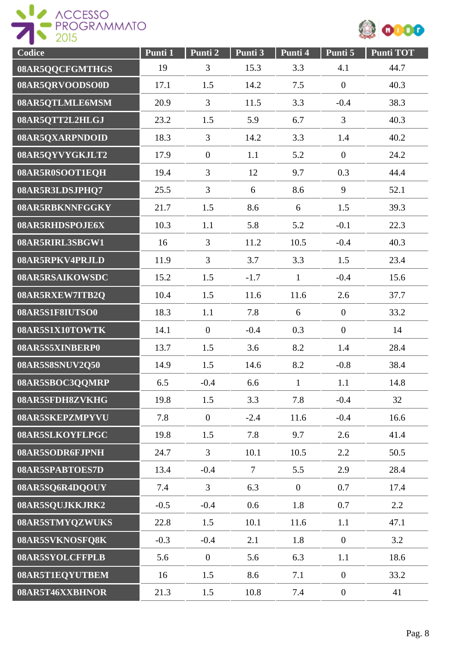

| Codice          | Punti 1 | Punti 2        | Punti 3        | Punti 4        | Punti 5          | <b>Punti TOT</b> |
|-----------------|---------|----------------|----------------|----------------|------------------|------------------|
| 08AR5QQCFGMTHGS | 19      | 3              | 15.3           | 3.3            | 4.1              | 44.7             |
| 08AR5QRVOODSO0D | 17.1    | 1.5            | 14.2           | 7.5            | $\boldsymbol{0}$ | 40.3             |
| 08AR5QTLMLE6MSM | 20.9    | $\mathfrak{Z}$ | 11.5           | 3.3            | $-0.4$           | 38.3             |
| 08AR5QTT2L2HLGJ | 23.2    | 1.5            | 5.9            | 6.7            | $\overline{3}$   | 40.3             |
| 08AR5QXARPNDOID | 18.3    | 3              | 14.2           | 3.3            | 1.4              | 40.2             |
| 08AR5QYVYGKJLT2 | 17.9    | $\mathbf{0}$   | 1.1            | 5.2            | $\overline{0}$   | 24.2             |
| 08AR5R0SOOT1EQH | 19.4    | $\overline{3}$ | 12             | 9.7            | 0.3              | 44.4             |
| 08AR5R3LDSJPHQ7 | 25.5    | $\overline{3}$ | 6              | 8.6            | 9                | 52.1             |
| 08AR5RBKNNFGGKY | 21.7    | 1.5            | 8.6            | 6              | 1.5              | 39.3             |
| 08AR5RHDSPOJE6X | 10.3    | 1.1            | 5.8            | 5.2            | $-0.1$           | 22.3             |
| 08AR5RIRL3SBGW1 | 16      | $\overline{3}$ | 11.2           | 10.5           | $-0.4$           | 40.3             |
| 08AR5RPKV4PRJLD | 11.9    | $\overline{3}$ | 3.7            | 3.3            | 1.5              | 23.4             |
| 08AR5RSAIKOWSDC | 15.2    | 1.5            | $-1.7$         | $\mathbf{1}$   | $-0.4$           | 15.6             |
| 08AR5RXEW7ITB2Q | 10.4    | 1.5            | 11.6           | 11.6           | 2.6              | 37.7             |
| 08AR5S1F8IUTSO0 | 18.3    | 1.1            | 7.8            | 6              | $\overline{0}$   | 33.2             |
| 08AR5S1X10TOWTK | 14.1    | $\mathbf{0}$   | $-0.4$         | 0.3            | $\boldsymbol{0}$ | 14               |
| 08AR5S5XINBERP0 | 13.7    | 1.5            | 3.6            | 8.2            | 1.4              | 28.4             |
| 08AR5S8SNUV2Q50 | 14.9    | 1.5            | 14.6           | 8.2            | $-0.8$           | 38.4             |
| 08AR5SBOC3QQMRP | 6.5     | $-0.4$         | 6.6            | $\mathbf{1}$   | 1.1              | 14.8             |
| 08AR5SFDH8ZVKHG | 19.8    | 1.5            | 3.3            | 7.8            | $-0.4$           | 32               |
| 08AR5SKEPZMPYVU | 7.8     | $\overline{0}$ | $-2.4$         | 11.6           | $-0.4$           | 16.6             |
| 08AR5SLKOYFLPGC | 19.8    | 1.5            | 7.8            | 9.7            | 2.6              | 41.4             |
| 08AR5SODR6FJPNH | 24.7    | $\overline{3}$ | 10.1           | 10.5           | 2.2              | 50.5             |
| 08AR5SPABTOES7D | 13.4    | $-0.4$         | $\overline{7}$ | 5.5            | 2.9              | 28.4             |
| 08AR5SQ6R4DQOUY | 7.4     | $\overline{3}$ | 6.3            | $\overline{0}$ | 0.7              | 17.4             |
| 08AR5SQUJKKJRK2 | $-0.5$  | $-0.4$         | 0.6            | 1.8            | 0.7              | 2.2              |
| 08AR5STMYQZWUKS | 22.8    | 1.5            | 10.1           | 11.6           | 1.1              | 47.1             |
| 08AR5SVKNOSFQ8K | $-0.3$  | $-0.4$         | 2.1            | 1.8            | $\overline{0}$   | 3.2              |
| 08AR5SYOLCFFPLB | 5.6     | $\overline{0}$ | 5.6            | 6.3            | 1.1              | 18.6             |
| 08AR5T1EQYUTBEM | 16      | 1.5            | 8.6            | 7.1            | $\overline{0}$   | 33.2             |
| 08AR5T46XXBHNOR | 21.3    | 1.5            | 10.8           | 7.4            | $\overline{0}$   | 41               |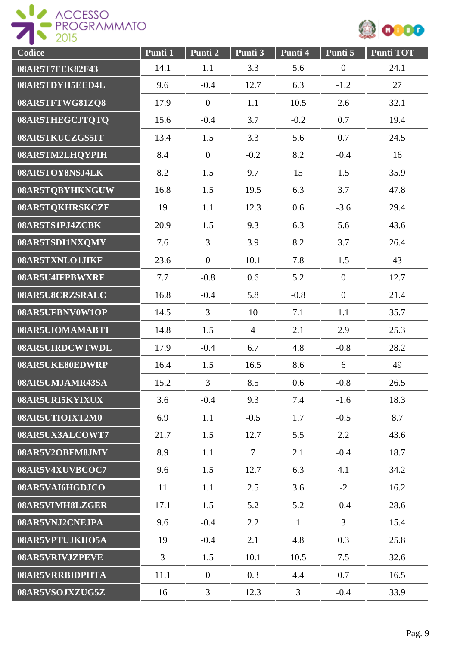



| Codice          | Punti 1 | Punti 2        | Punti 3        | Punti 4        | Punti 5          | <b>Punti TOT</b> |
|-----------------|---------|----------------|----------------|----------------|------------------|------------------|
| 08AR5T7FEK82F43 | 14.1    | 1.1            | 3.3            | 5.6            | $\boldsymbol{0}$ | 24.1             |
| 08AR5TDYH5EED4L | 9.6     | $-0.4$         | 12.7           | 6.3            | $-1.2$           | 27               |
| 08AR5TFTWG81ZQ8 | 17.9    | $\overline{0}$ | 1.1            | 10.5           | 2.6              | 32.1             |
| 08AR5THEGCJTQTQ | 15.6    | $-0.4$         | 3.7            | $-0.2$         | 0.7              | 19.4             |
| 08AR5TKUCZGS5IT | 13.4    | 1.5            | 3.3            | 5.6            | 0.7              | 24.5             |
| 08AR5TM2LHQYPIH | 8.4     | $\overline{0}$ | $-0.2$         | 8.2            | $-0.4$           | 16               |
| 08AR5TOY8NSJ4LK | 8.2     | 1.5            | 9.7            | 15             | 1.5              | 35.9             |
| 08AR5TQBYHKNGUW | 16.8    | 1.5            | 19.5           | 6.3            | 3.7              | 47.8             |
| 08AR5TQKHRSKCZF | 19      | 1.1            | 12.3           | 0.6            | $-3.6$           | 29.4             |
| 08AR5TS1PJ4ZCBK | 20.9    | 1.5            | 9.3            | 6.3            | 5.6              | 43.6             |
| 08AR5TSDI1NXQMY | 7.6     | $\overline{3}$ | 3.9            | 8.2            | 3.7              | 26.4             |
| 08AR5TXNLO1JIKF | 23.6    | $\overline{0}$ | 10.1           | 7.8            | 1.5              | 43               |
| 08AR5U4IFPBWXRF | 7.7     | $-0.8$         | 0.6            | 5.2            | $\mathbf{0}$     | 12.7             |
| 08AR5U8CRZSRALC | 16.8    | $-0.4$         | 5.8            | $-0.8$         | $\overline{0}$   | 21.4             |
| 08AR5UFBNV0W1OP | 14.5    | $\overline{3}$ | 10             | 7.1            | 1.1              | 35.7             |
| 08AR5UIOMAMABT1 | 14.8    | 1.5            | $\overline{4}$ | 2.1            | 2.9              | 25.3             |
| 08AR5UIRDCWTWDL | 17.9    | $-0.4$         | 6.7            | 4.8            | $-0.8$           | 28.2             |
| 08AR5UKE80EDWRP | 16.4    | 1.5            | 16.5           | 8.6            | 6                | 49               |
| 08AR5UMJAMR43SA | 15.2    | $\overline{3}$ | 8.5            | 0.6            | $-0.8$           | 26.5             |
| 08AR5URI5KYIXUX | 3.6     | $-0.4$         | 9.3            | 7.4            | $-1.6$           | 18.3             |
| 08AR5UTIOIXT2M0 | 6.9     | 1.1            | $-0.5$         | 1.7            | $-0.5$           | 8.7              |
| 08AR5UX3ALCOWT7 | 21.7    | 1.5            | 12.7           | 5.5            | 2.2              | 43.6             |
| 08AR5V2OBFM8JMY | 8.9     | 1.1            | $\tau$         | 2.1            | $-0.4$           | 18.7             |
| 08AR5V4XUVBCOC7 | 9.6     | 1.5            | 12.7           | 6.3            | 4.1              | 34.2             |
| 08AR5VAI6HGDJCO | 11      | 1.1            | 2.5            | 3.6            | $-2$             | 16.2             |
| 08AR5VIMH8LZGER | 17.1    | 1.5            | 5.2            | 5.2            | $-0.4$           | 28.6             |
| 08AR5VNJ2CNEJPA | 9.6     | $-0.4$         | 2.2            | $\mathbf{1}$   | $\overline{3}$   | 15.4             |
| 08AR5VPTUJKHO5A | 19      | $-0.4$         | 2.1            | 4.8            | 0.3              | 25.8             |
| 08AR5VRIVJZPEVE | 3       | 1.5            | 10.1           | 10.5           | 7.5              | 32.6             |
| 08AR5VRRBIDPHTA | 11.1    | $\mathbf{0}$   | 0.3            | 4.4            | 0.7              | 16.5             |
| 08AR5VSOJXZUG5Z | 16      | 3 <sup>1</sup> | 12.3           | $\overline{3}$ | $-0.4$           | 33.9             |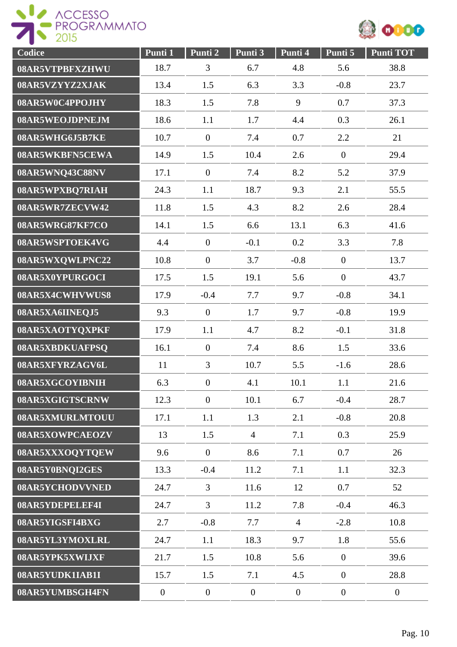



| Codice          | Punti 1          | Punti 2          | Punti 3        | Punti 4          | Punti 5          | Punti TOT      |
|-----------------|------------------|------------------|----------------|------------------|------------------|----------------|
| 08AR5VTPBFXZHWU | 18.7             | 3                | 6.7            | 4.8              | 5.6              | 38.8           |
| 08AR5VZYYZ2XJAK | 13.4             | 1.5              | 6.3            | 3.3              | $-0.8$           | 23.7           |
| 08AR5W0C4PPOJHY | 18.3             | 1.5              | 7.8            | 9                | 0.7              | 37.3           |
| 08AR5WEOJDPNEJM | 18.6             | 1.1              | 1.7            | 4.4              | 0.3              | 26.1           |
| 08AR5WHG6J5B7KE | 10.7             | $\overline{0}$   | 7.4            | 0.7              | 2.2              | 21             |
| 08AR5WKBFN5CEWA | 14.9             | 1.5              | 10.4           | 2.6              | $\boldsymbol{0}$ | 29.4           |
| 08AR5WNQ43C88NV | 17.1             | $\mathbf{0}$     | 7.4            | 8.2              | 5.2              | 37.9           |
| 08AR5WPXBQ7RIAH | 24.3             | 1.1              | 18.7           | 9.3              | 2.1              | 55.5           |
| 08AR5WR7ZECVW42 | 11.8             | 1.5              | 4.3            | 8.2              | 2.6              | 28.4           |
| 08AR5WRG87KF7CO | 14.1             | 1.5              | 6.6            | 13.1             | 6.3              | 41.6           |
| 08AR5WSPTOEK4VG | 4.4              | $\overline{0}$   | $-0.1$         | 0.2              | 3.3              | 7.8            |
| 08AR5WXQWLPNC22 | 10.8             | $\overline{0}$   | 3.7            | $-0.8$           | $\overline{0}$   | 13.7           |
| 08AR5X0YPURGOCI | 17.5             | 1.5              | 19.1           | 5.6              | $\overline{0}$   | 43.7           |
| 08AR5X4CWHVWUS8 | 17.9             | $-0.4$           | 7.7            | 9.7              | $-0.8$           | 34.1           |
| 08AR5XA6IINEQJ5 | 9.3              | $\overline{0}$   | 1.7            | 9.7              | $-0.8$           | 19.9           |
| 08AR5XAOTYQXPKF | 17.9             | 1.1              | 4.7            | 8.2              | $-0.1$           | 31.8           |
| 08AR5XBDKUAFPSQ | 16.1             | $\overline{0}$   | 7.4            | 8.6              | 1.5              | 33.6           |
| 08AR5XFYRZAGV6L | 11               | $\overline{3}$   | 10.7           | 5.5              | $-1.6$           | 28.6           |
| 08AR5XGCOYIBNIH | 6.3              | $\boldsymbol{0}$ | 4.1            | 10.1             | 1.1              | 21.6           |
| 08AR5XGIGTSCRNW | 12.3             | $\overline{0}$   | 10.1           | 6.7              | $-0.4$           | 28.7           |
| 08AR5XMURLMTOUU | 17.1             | 1.1              | 1.3            | 2.1              | $-0.8$           | 20.8           |
| 08AR5XOWPCAEOZV | 13               | 1.5              | $\overline{4}$ | 7.1              | 0.3              | 25.9           |
| 08AR5XXXOQYTQEW | 9.6              | $\overline{0}$   | 8.6            | 7.1              | 0.7              | 26             |
| 08AR5Y0BNQI2GES | 13.3             | $-0.4$           | 11.2           | 7.1              | 1.1              | 32.3           |
| 08AR5YCHODVVNED | 24.7             | $\mathfrak{Z}$   | 11.6           | 12               | 0.7              | 52             |
| 08AR5YDEPELEF4I | 24.7             | $\overline{3}$   | 11.2           | 7.8              | $-0.4$           | 46.3           |
| 08AR5YIGSFI4BXG | 2.7              | $-0.8$           | 7.7            | $\overline{4}$   | $-2.8$           | 10.8           |
| 08AR5YL3YMOXLRL | 24.7             | 1.1              | 18.3           | 9.7              | 1.8              | 55.6           |
| 08AR5YPK5XWIJXF | 21.7             | 1.5              | 10.8           | 5.6              | $\overline{0}$   | 39.6           |
| 08AR5YUDK1IAB1I | 15.7             | 1.5              | 7.1            | 4.5              | $\boldsymbol{0}$ | 28.8           |
| 08AR5YUMBSGH4FN | $\boldsymbol{0}$ | $\overline{0}$   | $\overline{0}$ | $\boldsymbol{0}$ | $\overline{0}$   | $\overline{0}$ |